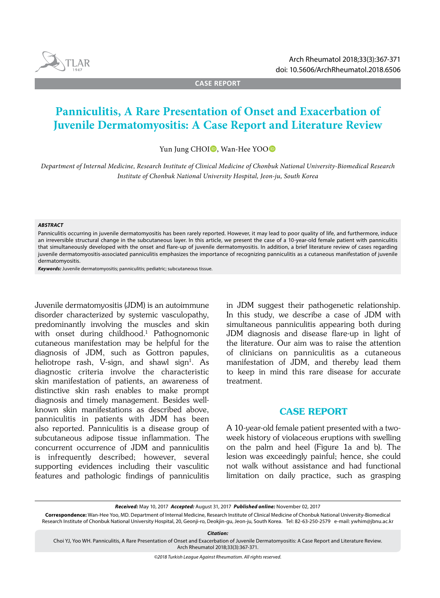

TLAR

**CASE REPORT**

# **Panniculitis, A Rare Presentation of Onset and Exacerbation of Juvenile Dermatomyositis: A Case Report and Literature Review**

Yun Jung CHOI<sup>D</sup>, Wan-Hee YOO<sup>D</sup>

*Department of Internal Medicine, Research Institute of Clinical Medicine of Chonbuk National University-Biomedical Research Institute of Chonbuk National University Hospital, Jeon-ju, South Korea*

#### *ABSTRACT*

Panniculitis occurring in juvenile dermatomyositis has been rarely reported. However, it may lead to poor quality of life, and furthermore, induce an irreversible structural change in the subcutaneous layer. In this article, we present the case of a 10-year-old female patient with panniculitis that simultaneously developed with the onset and flare-up of juvenile dermatomyositis. In addition, a brief literature review of cases regarding juvenile dermatomyositis-associated panniculitis emphasizes the importance of recognizing panniculitis as a cutaneous manifestation of juvenile dermatomyositis.

*Keywords:* Juvenile dermatomyositis; panniculitis; pediatric; subcutaneous tissue.

Juvenile dermatomyositis (JDM) is an autoimmune disorder characterized by systemic vasculopathy, predominantly involving the muscles and skin with onset during childhood.<sup>1</sup> Pathognomonic cutaneous manifestation may be helpful for the diagnosis of JDM, such as Gottron papules, heliotrope rash, V-sign, and shawl sign<sup>1</sup>. As diagnostic criteria involve the characteristic skin manifestation of patients, an awareness of distinctive skin rash enables to make prompt diagnosis and timely management. Besides wellknown skin manifestations as described above, panniculitis in patients with JDM has been also reported. Panniculitis is a disease group of subcutaneous adipose tissue inflammation. The concurrent occurrence of JDM and panniculitis is infrequently described; however, several supporting evidences including their vasculitic features and pathologic findings of panniculitis

in JDM suggest their pathogenetic relationship. In this study, we describe a case of JDM with simultaneous panniculitis appearing both during JDM diagnosis and disease flare-up in light of the literature. Our aim was to raise the attention of clinicians on panniculitis as a cutaneous manifestation of JDM, and thereby lead them to keep in mind this rare disease for accurate treatment.

## CASE REPORT

A 10-year-old female patient presented with a twoweek history of violaceous eruptions with swelling on the palm and heel (Figure 1a and b). The lesion was exceedingly painful; hence, she could not walk without assistance and had functional limitation on daily practice, such as grasping

*Received:* May 10, 2017 *Accepted:* August 31, 2017 *Published online:* November 02, 2017

**Correspondence:** Wan-Hee Yoo, MD. Department of Internal Medicine, Research Institute of Clinical Medicine of Chonbuk National University-Biomedical Research Institute of Chonbuk National University Hospital, 20, Geonji-ro, Deokjin-gu, Jeon-ju, South Korea. Tel: 82-63-250-2579 e-mail: ywhim@jbnu.ac.kr

*Citation:*

Choi YJ, Yoo WH. Panniculitis, A Rare Presentation of Onset and Exacerbation of Juvenile Dermatomyositis: A Case Report and Literature Review. Arch Rheumatol 2018;33(3):367-371.

*©2018 Turkish League Against Rheumatism. All rights reserved.*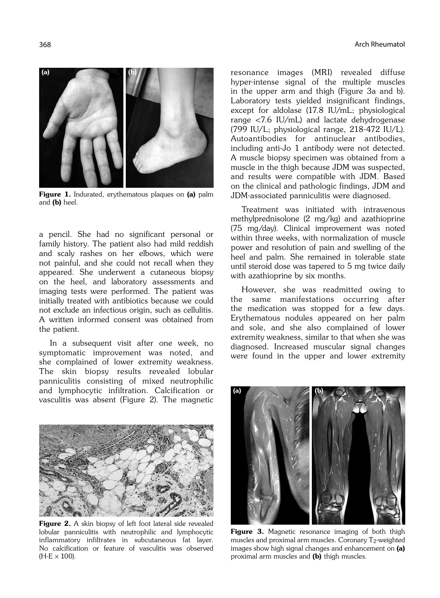

Figure 1. Indurated, erythematous plaques on (a) palm and (b) heel.

a pencil. She had no significant personal or family history. The patient also had mild reddish and scaly rashes on her elbows, which were not painful, and she could not recall when they appeared. She underwent a cutaneous biopsy on the heel, and laboratory assessments and imaging tests were performed. The patient was initially treated with antibiotics because we could not exclude an infectious origin, such as cellulitis. A written informed consent was obtained from the patient.

In a subsequent visit after one week, no symptomatic improvement was noted, and she complained of lower extremity weakness. The skin biopsy results revealed lobular panniculitis consisting of mixed neutrophilic and lymphocytic infiltration. Calcification or vasculitis was absent (Figure 2). The magnetic



Figure 2. A skin biopsy of left foot lateral side revealed lobular panniculitis with neutrophilic and lymphocytic inflammatory infiltrates in subcutaneous fat layer. No calcification or feature of vasculitis was observed  $(H-E \times 100)$ .

resonance images (MRI) revealed diffuse hyper-intense signal of the multiple muscles in the upper arm and thigh (Figure 3a and b). Laboratory tests yielded insignificant findings, except for aldolase (17.8 IU/mL; physiological range <7.6 IU/mL) and lactate dehydrogenase (799 IU/L; physiological range, 218-472 IU/L). Autoantibodies for antinuclear antibodies, including anti-Jo 1 antibody were not detected. A muscle biopsy specimen was obtained from a muscle in the thigh because JDM was suspected, and results were compatible with JDM. Based on the clinical and pathologic findings, JDM and JDM-associated panniculitis were diagnosed.

Treatment was initiated with intravenous methylprednisolone (2 mg/kg) and azathioprine (75 mg/day). Clinical improvement was noted within three weeks, with normalization of muscle power and resolution of pain and swelling of the heel and palm. She remained in tolerable state until steroid dose was tapered to 5 mg twice daily with azathioprine by six months.

However, she was readmitted owing to the same manifestations occurring after the medication was stopped for a few days. Erythematous nodules appeared on her palm and sole, and she also complained of lower extremity weakness, similar to that when she was diagnosed. Increased muscular signal changes were found in the upper and lower extremity



Figure 3. Magnetic resonance imaging of both thigh muscles and proximal arm muscles. Coronary  $T_2$ -weighted images show high signal changes and enhancement on (a) proximal arm muscles and (b) thigh muscles.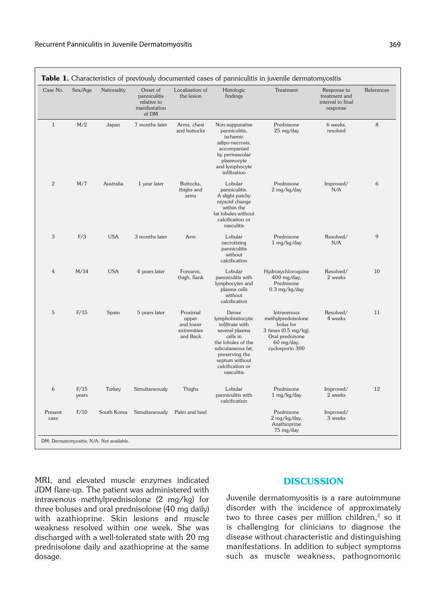$\overline{\phantom{a}}$ 

| Case No.        | Sex/Age       | Nationality | Onset of<br>panniculitis<br>relative to<br>manifestation<br>of DM | Localization of<br>the lesion                             | Histologic<br>findings                                                                                                                                                                       | Treatment                                                                                                                               | Response to<br>treatment and<br>interval to final<br>response | References |
|-----------------|---------------|-------------|-------------------------------------------------------------------|-----------------------------------------------------------|----------------------------------------------------------------------------------------------------------------------------------------------------------------------------------------------|-----------------------------------------------------------------------------------------------------------------------------------------|---------------------------------------------------------------|------------|
| $\mathbf{1}$    | M/2           | Japan       | 7 months later                                                    | Arms, chest<br>and buttocks                               | Non-suppurative<br>panniculitis,<br>ischemic<br>adipo-necrosis,<br>accompanied<br>by perivascular<br>plasmocyte<br>and lymphocyte<br>infiltration                                            | Prednisone<br>$25 \text{ mg/day}$                                                                                                       | 6 weeks.<br>resolved                                          | 8          |
| $\sqrt{2}$      | M/7           | Australia   | 1 year later                                                      | Buttocks,<br>thighs and<br>arms                           | Lobular<br>panniculitis.<br>A slight patchy<br>myxoid change<br>within the<br>fat lobules without<br>calcification or<br>vasculitis                                                          | Prednisone<br>$2$ mg/kg/day                                                                                                             | Improved/<br>N/A                                              | 6          |
| 3               | F/3           | <b>USA</b>  | 3 months later                                                    | Arm                                                       | Lobular<br>necrotizing<br>panniculitis<br>without<br>calcification                                                                                                                           | Prednisone<br>1 mg/kg/day                                                                                                               | Resolved/<br>N/A                                              | 9          |
| $\overline{4}$  | M/14          | <b>USA</b>  | 4 years later                                                     | Forearm,<br>thigh, flank                                  | Lobular<br>panniculitis with<br>lymphocytes and<br>plasma cells<br>without<br>calcification                                                                                                  | Hydroxychloroquine<br>400 mg/day,<br>Prednisone<br>$0.3$ mg/kg/day                                                                      | Resolved/<br>2 weeks                                          | 10         |
| 5               | F/15          | Spain       | 5 years later                                                     | Proximal<br>upper<br>and lower<br>extremities<br>and Back | Dense<br>lymphohistiocytic<br>infiltrate with<br>several plasma<br>cells in<br>the lobules of the<br>subcutaneous fat,<br>preserving the<br>septum without<br>calcification or<br>vasculitis | Intravenous<br>methylprednisolone<br>bolus for<br>3 times $(0.5 \text{ mg/kg})$ ,<br>Oral prednisone<br>$60$ mg/day,<br>cyclosporin 300 | Resolved/<br>4 weeks                                          | 11         |
| 6               | F/15<br>years | Turkey      | Simultaneously                                                    | Thighs                                                    | Lobular<br>panniculitis with<br>calcification                                                                                                                                                | Prednisone<br>1 mg/kg/day                                                                                                               | Improved/<br>2 weeks                                          | 12         |
| Present<br>case | F/10          | South Korea | Simultaneously                                                    | Palm and heel                                             |                                                                                                                                                                                              | Prednisone<br>2 mg/kg/day,<br>Azathioprine<br>75 mg/day                                                                                 | Improved/<br>3 weeks                                          |            |

MRI, and elevated muscle enzymes indicated JDM flare-up. The patient was administered with intravenous methylprednisolone (2 mg/kg) for three boluses and oral prednisolone (40 mg daily) with azathioprine. Skin lesions and muscle weakness resolved within one week. She was discharged with a well-tolerated state with 20 mg prednisolone daily and azathioprine at the same dosage.

## **DISCUSSION**

Juvenile dermatomyositis is a rare autoimmune disorder with the incidence of approximately two to three cases per million children, $2$  so it is challenging for clinicians to diagnose the disease without characteristic and distinguishing manifestations. In addition to subject symptoms such as muscle weakness, pathognomonic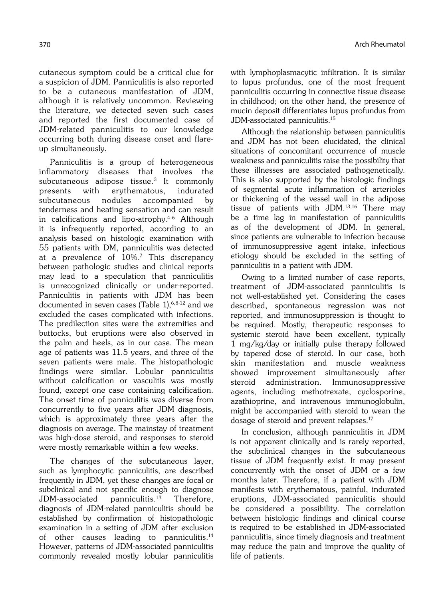cutaneous symptom could be a critical clue for a suspicion of JDM. Panniculitis is also reported to be a cutaneous manifestation of JDM, although it is relatively uncommon. Reviewing the literature, we detected seven such cases and reported the first documented case of JDM-related panniculitis to our knowledge occurring both during disease onset and flareup simultaneously.

Panniculitis is a group of heterogeneous inflammatory diseases that involves the subcutaneous adipose tissue.3 It commonly presents with erythematous, indurated subcutaneous nodules accompanied by tenderness and heating sensation and can result in calcifications and lipo-atrophy.4-6 Although it is infrequently reported, according to an analysis based on histologic examination with 55 patients with DM, panniculitis was detected at a prevalence of 10%.7 This discrepancy between pathologic studies and clinical reports may lead to a speculation that panniculitis is unrecognized clinically or under-reported. Panniculitis in patients with JDM has been documented in seven cases (Table 1), 6,8-12 and we excluded the cases complicated with infections. The predilection sites were the extremities and buttocks, but eruptions were also observed in the palm and heels, as in our case. The mean age of patients was 11.5 years, and three of the seven patients were male. The histopathologic findings were similar. Lobular panniculitis without calcification or vasculitis was mostly found, except one case containing calcification. The onset time of panniculitis was diverse from concurrently to five years after JDM diagnosis, which is approximately three years after the diagnosis on average. The mainstay of treatment was high-dose steroid, and responses to steroid were mostly remarkable within a few weeks.

The changes of the subcutaneous layer, such as lymphocytic panniculitis, are described frequently in JDM, yet these changes are focal or subclinical and not specific enough to diagnose JDM-associated panniculitis.13 Therefore, diagnosis of JDM-related panniculitis should be established by confirmation of histopathologic examination in a setting of JDM after exclusion of other causes leading to panniculitis.<sup>14</sup> However, patterns of JDM-associated panniculitis commonly revealed mostly lobular panniculitis with lymphoplasmacytic infiltration. It is similar to lupus profundus, one of the most frequent panniculitis occurring in connective tissue disease in childhood; on the other hand, the presence of mucin deposit differentiates lupus profundus from JDM-associated panniculitis.15

Although the relationship between panniculitis and JDM has not been elucidated, the clinical situations of concomitant occurrence of muscle weakness and panniculitis raise the possibility that these illnesses are associated pathogenetically. This is also supported by the histologic findings of segmental acute inflammation of arterioles or thickening of the vessel wall in the adipose tissue of patients with JDM.13,16 There may be a time lag in manifestation of panniculitis as of the development of JDM. In general, since patients are vulnerable to infection because of immunosuppressive agent intake, infectious etiology should be excluded in the setting of panniculitis in a patient with JDM.

Owing to a limited number of case reports, treatment of JDM-associated panniculitis is not well-established yet. Considering the cases described, spontaneous regression was not reported, and immunosuppression is thought to be required. Mostly, therapeutic responses to systemic steroid have been excellent, typically 1 mg/kg/day or initially pulse therapy followed by tapered dose of steroid. In our case, both skin manifestation and muscle weakness showed improvement simultaneously after steroid administration. Immunosuppressive agents, including methotrexate, cyclosporine, azathioprine, and intravenous immunoglobulin, might be accompanied with steroid to wean the dosage of steroid and prevent relapses.<sup>17</sup>

In conclusion, although panniculitis in JDM is not apparent clinically and is rarely reported, the subclinical changes in the subcutaneous tissue of JDM frequently exist. It may present concurrently with the onset of JDM or a few months later. Therefore, if a patient with JDM manifests with erythematous, painful, indurated eruptions, JDM-associated panniculitis should be considered a possibility. The correlation between histologic findings and clinical course is required to be established in JDM-associated panniculitis, since timely diagnosis and treatment may reduce the pain and improve the quality of life of patients.